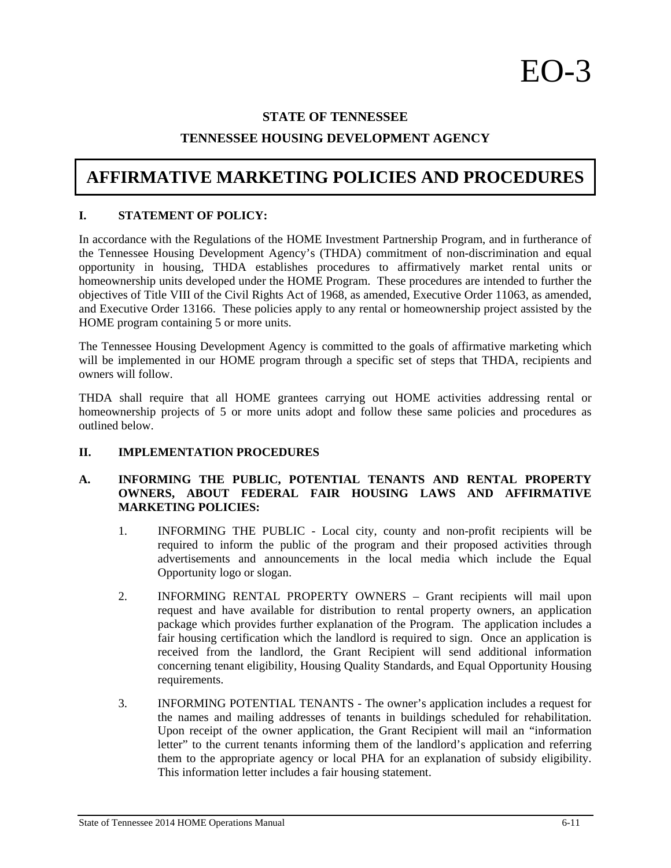## **STATE OF TENNESSEE**

## **TENNESSEE HOUSING DEVELOPMENT AGENCY**

# **AFFIRMATIVE MARKETING POLICIES AND PROCEDURES**

### **I. STATEMENT OF POLICY:**

In accordance with the Regulations of the HOME Investment Partnership Program, and in furtherance of the Tennessee Housing Development Agency's (THDA) commitment of non-discrimination and equal opportunity in housing, THDA establishes procedures to affirmatively market rental units or homeownership units developed under the HOME Program. These procedures are intended to further the objectives of Title VIII of the Civil Rights Act of 1968, as amended, Executive Order 11063, as amended, and Executive Order 13166. These policies apply to any rental or homeownership project assisted by the HOME program containing 5 or more units.

The Tennessee Housing Development Agency is committed to the goals of affirmative marketing which will be implemented in our HOME program through a specific set of steps that THDA, recipients and owners will follow.

THDA shall require that all HOME grantees carrying out HOME activities addressing rental or homeownership projects of 5 or more units adopt and follow these same policies and procedures as outlined below.

## **II. IMPLEMENTATION PROCEDURES**

## **A. INFORMING THE PUBLIC, POTENTIAL TENANTS AND RENTAL PROPERTY OWNERS, ABOUT FEDERAL FAIR HOUSING LAWS AND AFFIRMATIVE MARKETING POLICIES:**

- 1. INFORMING THE PUBLIC Local city, county and non-profit recipients will be required to inform the public of the program and their proposed activities through advertisements and announcements in the local media which include the Equal Opportunity logo or slogan.
- 2. INFORMING RENTAL PROPERTY OWNERS Grant recipients will mail upon request and have available for distribution to rental property owners, an application package which provides further explanation of the Program. The application includes a fair housing certification which the landlord is required to sign. Once an application is received from the landlord, the Grant Recipient will send additional information concerning tenant eligibility, Housing Quality Standards, and Equal Opportunity Housing requirements.
- 3. INFORMING POTENTIAL TENANTS The owner's application includes a request for the names and mailing addresses of tenants in buildings scheduled for rehabilitation. Upon receipt of the owner application, the Grant Recipient will mail an "information letter" to the current tenants informing them of the landlord's application and referring them to the appropriate agency or local PHA for an explanation of subsidy eligibility. This information letter includes a fair housing statement.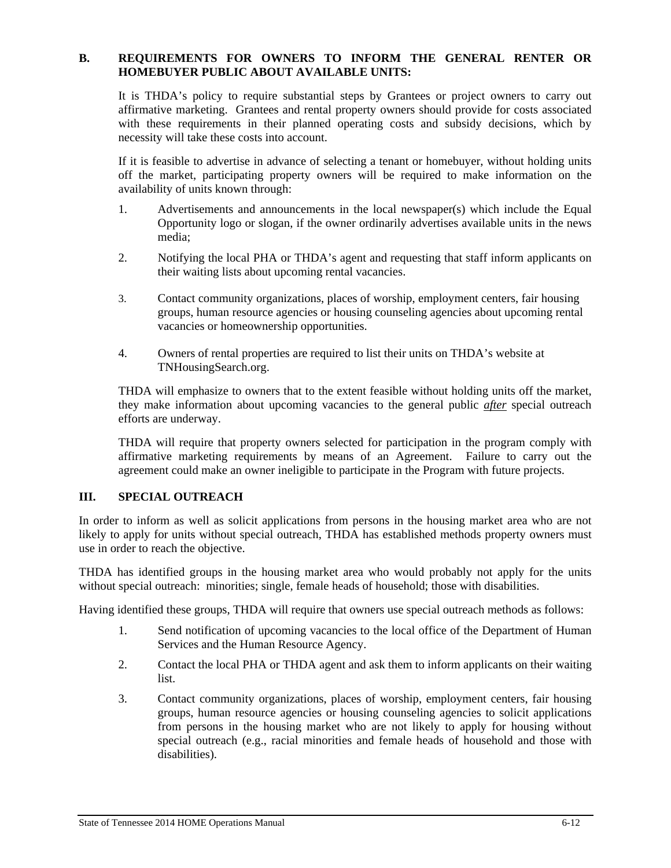## **B. REQUIREMENTS FOR OWNERS TO INFORM THE GENERAL RENTER OR HOMEBUYER PUBLIC ABOUT AVAILABLE UNITS:**

It is THDA's policy to require substantial steps by Grantees or project owners to carry out affirmative marketing. Grantees and rental property owners should provide for costs associated with these requirements in their planned operating costs and subsidy decisions, which by necessity will take these costs into account.

If it is feasible to advertise in advance of selecting a tenant or homebuyer, without holding units off the market, participating property owners will be required to make information on the availability of units known through:

- 1. Advertisements and announcements in the local newspaper(s) which include the Equal Opportunity logo or slogan, if the owner ordinarily advertises available units in the news media;
- 2. Notifying the local PHA or THDA's agent and requesting that staff inform applicants on their waiting lists about upcoming rental vacancies.
- 3. Contact community organizations, places of worship, employment centers, fair housing groups, human resource agencies or housing counseling agencies about upcoming rental vacancies or homeownership opportunities.
- 4. Owners of rental properties are required to list their units on THDA's website at TNHousingSearch.org.

THDA will emphasize to owners that to the extent feasible without holding units off the market, they make information about upcoming vacancies to the general public *after* special outreach efforts are underway.

THDA will require that property owners selected for participation in the program comply with affirmative marketing requirements by means of an Agreement. Failure to carry out the agreement could make an owner ineligible to participate in the Program with future projects.

## **III. SPECIAL OUTREACH**

In order to inform as well as solicit applications from persons in the housing market area who are not likely to apply for units without special outreach, THDA has established methods property owners must use in order to reach the objective.

THDA has identified groups in the housing market area who would probably not apply for the units without special outreach: minorities; single, female heads of household; those with disabilities.

Having identified these groups, THDA will require that owners use special outreach methods as follows:

- 1. Send notification of upcoming vacancies to the local office of the Department of Human Services and the Human Resource Agency.
- 2. Contact the local PHA or THDA agent and ask them to inform applicants on their waiting list.
- 3. Contact community organizations, places of worship, employment centers, fair housing groups, human resource agencies or housing counseling agencies to solicit applications from persons in the housing market who are not likely to apply for housing without special outreach (e.g., racial minorities and female heads of household and those with disabilities).